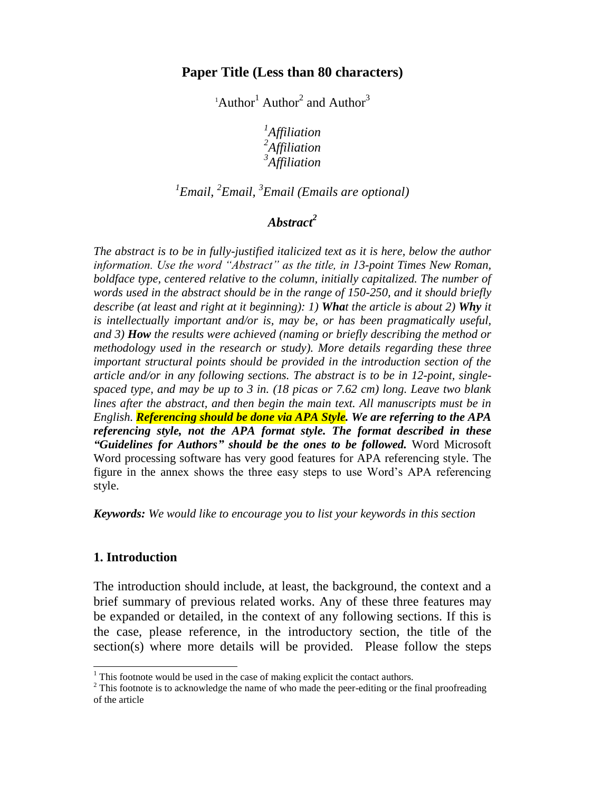### **Paper Title (Less than 80 characters)**

<sup>1</sup>Author<sup>1</sup> Author<sup>2</sup> and Author<sup>3</sup>

*1 Affiliation 2 Affiliation 3 Affiliation*

## *1 Email, <sup>2</sup> Email, <sup>3</sup> Email (Emails are optional)*

### *Abstract<sup>2</sup>*

*The abstract is to be in fully-justified italicized text as it is here, below the author information. Use the word "Abstract" as the title, in 13-point Times New Roman, boldface type, centered relative to the column, initially capitalized. The number of words used in the abstract should be in the range of 150-250, and it should briefly describe (at least and right at it beginning): 1) What the article is about 2) Why it is intellectually important and/or is, may be, or has been pragmatically useful, and 3) How the results were achieved (naming or briefly describing the method or methodology used in the research or study). More details regarding these three important structural points should be provided in the introduction section of the article and/or in any following sections. The abstract is to be in 12-point, singlespaced type, and may be up to 3 in. (18 picas or 7.62 cm) long. Leave two blank lines after the abstract, and then begin the main text. All manuscripts must be in English. Referencing should be done via APA Style. We are referring to the APA referencing style, not the APA format style. The format described in these "Guidelines for Authors" should be the ones to be followed.* Word Microsoft Word processing software has very good features for APA referencing style. The figure in the annex shows the three easy steps to use Word's APA referencing style.

*Keywords: We would like to encourage you to list your keywords in this section*

### **1. Introduction**

l

The introduction should include, at least, the background, the context and a brief summary of previous related works. Any of these three features may be expanded or detailed, in the context of any following sections. If this is the case, please reference, in the introductory section, the title of the section(s) where more details will be provided. Please follow the steps

 $1$ <sup>1</sup> This footnote would be used in the case of making explicit the contact authors.

 $2$  This footnote is to acknowledge the name of who made the peer-editing or the final proofreading of the article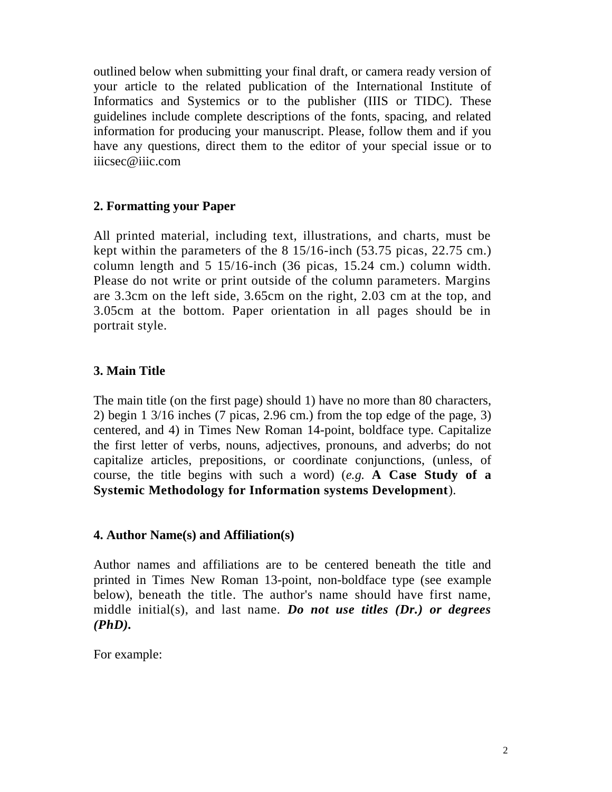outlined below when submitting your final draft, or camera ready version of your article to the related publication of the International Institute of Informatics and Systemics or to the publisher (IIIS or TIDC). These guidelines include complete descriptions of the fonts, spacing, and related information for producing your manuscript. Please, follow them and if you have any questions, direct them to the editor of your special issue or to iiicsec@iiic.com

### **2. Formatting your Paper**

All printed material, including text, illustrations, and charts, must be kept within the parameters of the 8 15/16-inch (53.75 picas, 22.75 cm.) column length and 5 15/16-inch (36 picas, 15.24 cm.) column width. Please do not write or print outside of the column parameters. Margins are 3.3cm on the left side, 3.65cm on the right, 2.03 cm at the top, and 3.05cm at the bottom. Paper orientation in all pages should be in portrait style.

### **3. Main Title**

The main title (on the first page) should 1) have no more than 80 characters, 2) begin 1 3/16 inches (7 picas, 2.96 cm.) from the top edge of the page, 3) centered, and 4) in Times New Roman 14-point, boldface type. Capitalize the first letter of verbs, nouns, adjectives, pronouns, and adverbs; do not capitalize articles, prepositions, or coordinate conjunctions, (unless, of course, the title begins with such a word) (*e.g.* **A Case Study of a Systemic Methodology for Information systems Development**).

### **4. Author Name(s) and Affiliation(s)**

Author names and affiliations are to be centered beneath the title and printed in Times New Roman 13-point, non-boldface type (see example below), beneath the title. The author's name should have first name, middle initial(s), and last name. *Do not use titles (Dr.) or degrees (PhD).*

For example: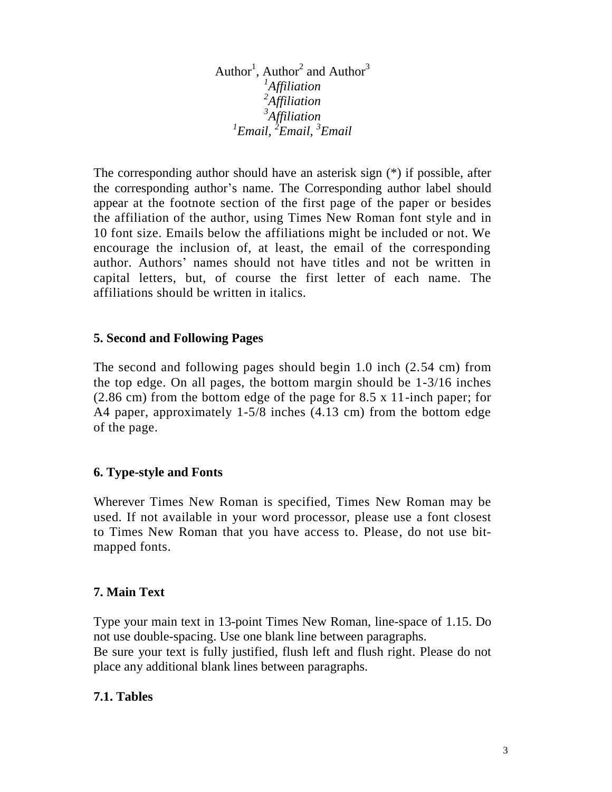Author<sup>1</sup>, Author<sup>2</sup> and Author<sup>3</sup> *Affiliation Affiliation Affiliation Email, <sup>2</sup> Email, <sup>3</sup> Email*

The corresponding author should have an asterisk sign (\*) if possible, after the corresponding author's name. The Corresponding author label should appear at the footnote section of the first page of the paper or besides the affiliation of the author, using Times New Roman font style and in 10 font size. Emails below the affiliations might be included or not. We encourage the inclusion of, at least, the email of the corresponding author. Authors' names should not have titles and not be written in capital letters, but, of course the first letter of each name. The affiliations should be written in italics.

### **5. Second and Following Pages**

The second and following pages should begin 1.0 inch (2.54 cm) from the top edge. On all pages, the bottom margin should be 1-3/16 inches (2.86 cm) from the bottom edge of the page for 8.5 x 11-inch paper; for A4 paper, approximately 1-5/8 inches (4.13 cm) from the bottom edge of the page.

### **6. Type-style and Fonts**

Wherever Times New Roman is specified, Times New Roman may be used. If not available in your word processor, please use a font closest to Times New Roman that you have access to. Please, do not use bitmapped fonts.

### **7. Main Text**

Type your main text in 13-point Times New Roman, line-space of 1.15. Do not use double-spacing. Use one blank line between paragraphs. Be sure your text is fully justified, flush left and flush right. Please do not place any additional blank lines between paragraphs.

### **7.1. Tables**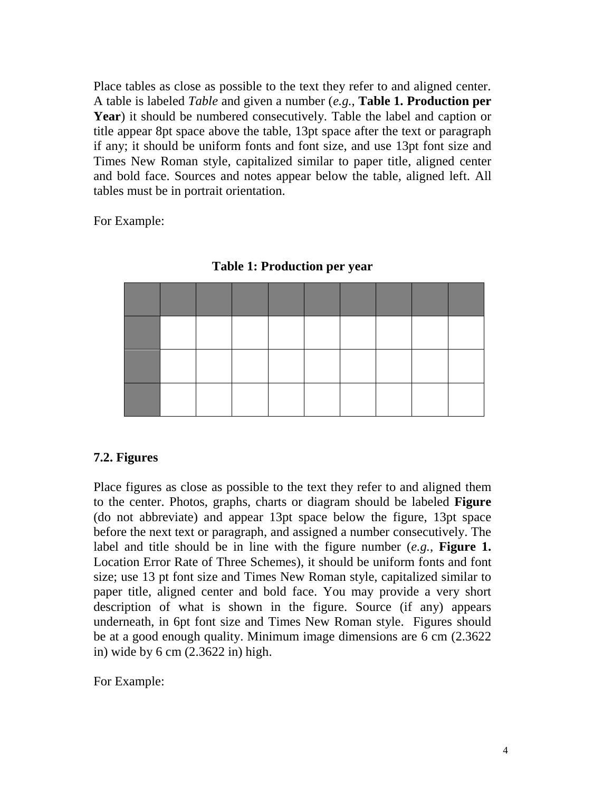Place tables as close as possible to the text they refer to and aligned center. A table is labeled *Table* and given a number (*e.g.*, **Table 1. Production per Year**) it should be numbered consecutively. Table the label and caption or title appear 8pt space above the table, 13pt space after the text or paragraph if any; it should be uniform fonts and font size, and use 13pt font size and Times New Roman style, capitalized similar to paper title, aligned center and bold face. Sources and notes appear below the table, aligned left. All tables must be in portrait orientation.

For Example:

**Table 1: Production per year** 

### **7.2. Figures**

Place figures as close as possible to the text they refer to and aligned them to the center. Photos, graphs, charts or diagram should be labeled **Figure** (do not abbreviate) and appear 13pt space below the figure, 13pt space before the next text or paragraph, and assigned a number consecutively. The label and title should be in line with the figure number (*e.g.*, **Figure 1.**  Location Error Rate of Three Schemes), it should be uniform fonts and font size; use 13 pt font size and Times New Roman style, capitalized similar to paper title, aligned center and bold face. You may provide a very short description of what is shown in the figure. Source (if any) appears underneath, in 6pt font size and Times New Roman style. Figures should be at a good enough quality. Minimum image dimensions are 6 cm (2.3622 in) wide by 6 cm (2.3622 in) high.

For Example: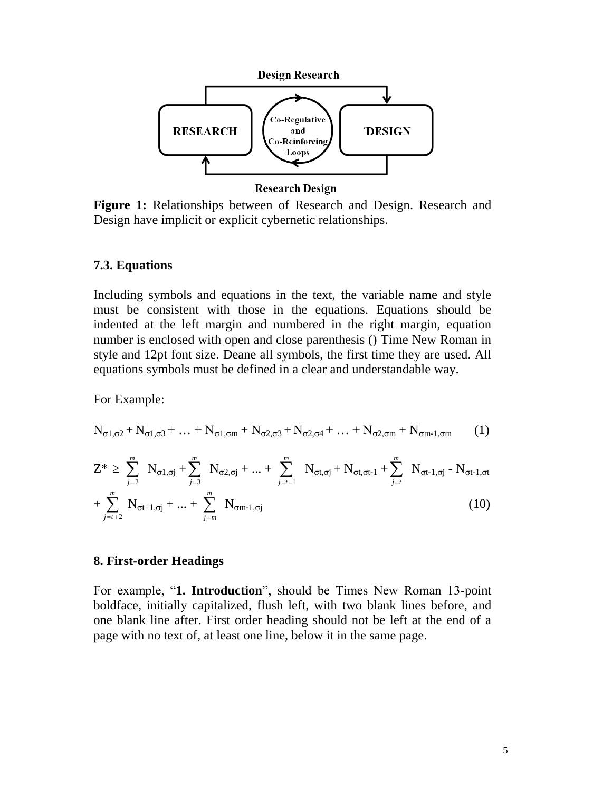

**Research Design** 

**Figure 1:** Relationships between of Research and Design. Research and Design have implicit or explicit cybernetic relationships.

#### **7.3. Equations**

Including symbols and equations in the text, the variable name and style must be consistent with those in the equations. Equations should be indented at the left margin and numbered in the right margin, equation number is enclosed with open and close parenthesis () Time New Roman in style and 12pt font size. Deane all symbols, the first time they are used. All equations symbols must be defined in a clear and understandable way.

For Example:

$$
N_{\sigma1,\sigma2}+N_{\sigma1,\sigma3}+\ldots+N_{\sigma1,\sigma m}+N_{\sigma2,\sigma3}+N_{\sigma2,\sigma4}+\ldots+N_{\sigma2,\sigma m}+N_{\sigma m-1,\sigma m} \hspace{0.5cm} (1)
$$

$$
Z^* \geq \sum_{j=2}^m N_{\sigma 1, \sigma j} + \sum_{j=3}^m N_{\sigma 2, \sigma j} + ... + \sum_{j=t-1}^m N_{\sigma t, \sigma j} + N_{\sigma t, \sigma t-1} + \sum_{j=t}^m N_{\sigma t-1, \sigma j} - N_{\sigma t-1, \sigma t} + \sum_{j=t+2}^m N_{\sigma t+1, \sigma j} + ... + \sum_{j=m}^m N_{\sigma m-1, \sigma j}
$$
(10)

#### **8. First-order Headings**

For example, "**1. Introduction**", should be Times New Roman 13-point boldface, initially capitalized, flush left, with two blank lines before, and one blank line after. First order heading should not be left at the end of a page with no text of, at least one line, below it in the same page.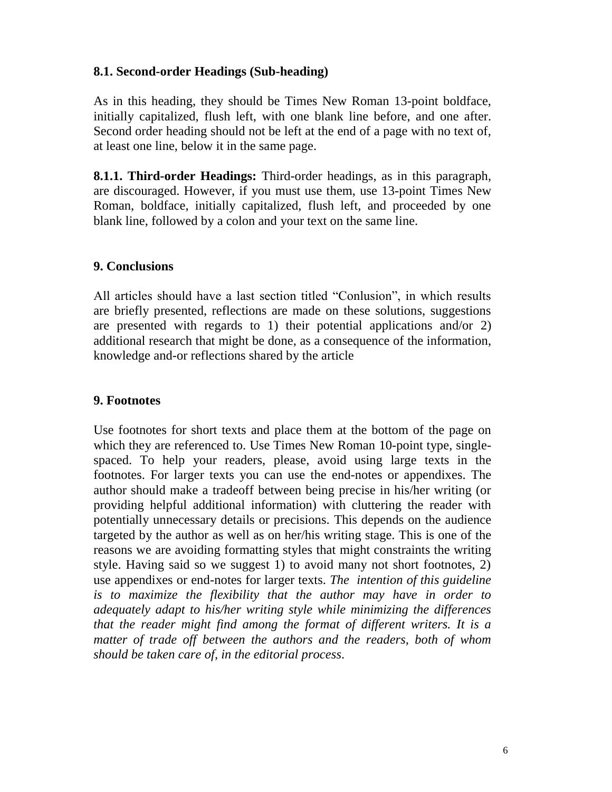### **8.1. Second-order Headings (Sub-heading)**

As in this heading, they should be Times New Roman 13-point boldface, initially capitalized, flush left, with one blank line before, and one after. Second order heading should not be left at the end of a page with no text of, at least one line, below it in the same page.

**8.1.1. Third-order Headings:** Third-order headings, as in this paragraph, are discouraged. However, if you must use them, use 13-point Times New Roman, boldface, initially capitalized, flush left, and proceeded by one blank line, followed by a colon and your text on the same line.

### **9. Conclusions**

All articles should have a last section titled "Conlusion", in which results are briefly presented, reflections are made on these solutions, suggestions are presented with regards to 1) their potential applications and/or 2) additional research that might be done, as a consequence of the information, knowledge and-or reflections shared by the article

### **9. Footnotes**

Use footnotes for short texts and place them at the bottom of the page on which they are referenced to. Use Times New Roman 10-point type, singlespaced. To help your readers, please, avoid using large texts in the footnotes. For larger texts you can use the end-notes or appendixes. The author should make a tradeoff between being precise in his/her writing (or providing helpful additional information) with cluttering the reader with potentially unnecessary details or precisions. This depends on the audience targeted by the author as well as on her/his writing stage. This is one of the reasons we are avoiding formatting styles that might constraints the writing style. Having said so we suggest 1) to avoid many not short footnotes, 2) use appendixes or end-notes for larger texts. *The intention of this guideline is to maximize the flexibility that the author may have in order to adequately adapt to his/her writing style while minimizing the differences that the reader might find among the format of different writers. It is a matter of trade off between the authors and the readers, both of whom should be taken care of, in the editorial process*.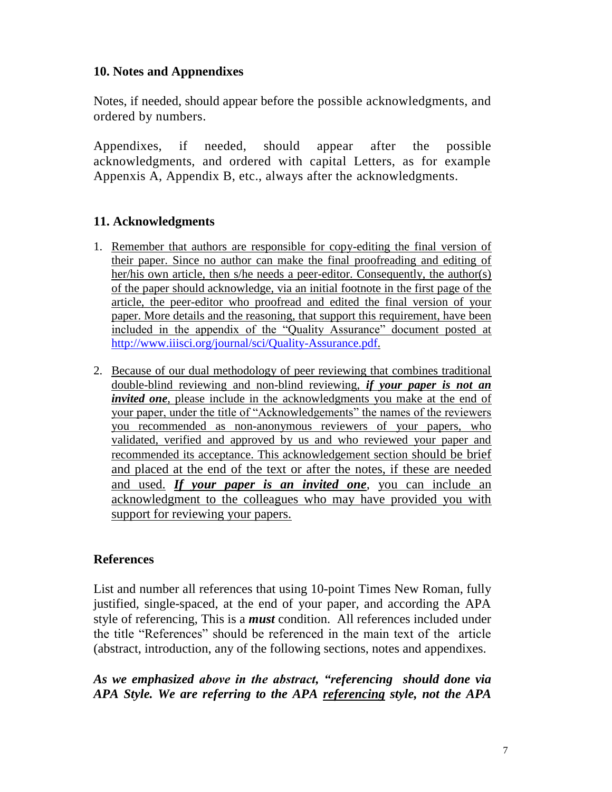### **10. Notes and Appnendixes**

Notes, if needed, should appear before the possible acknowledgments, and ordered by numbers.

Appendixes, if needed, should appear after the possible acknowledgments, and ordered with capital Letters, as for example Appenxis A, Appendix B, etc., always after the acknowledgments.

### **11. Acknowledgments**

- 1. Remember that authors are responsible for copy-editing the final version of their paper. Since no author can make the final proofreading and editing of her/his own article, then s/he needs a peer-editor. Consequently, the author(s) of the paper should acknowledge, via an initial footnote in the first page of the article, the peer-editor who proofread and edited the final version of your paper. More details and the reasoning, that support this requirement, have been included in the appendix of the "Quality Assurance" document posted at [http://www.iiisci.org/journal/sci/Quality-Assurance.pdf.](http://www.iiisci.org/journal/sci/Quality-Assurance.pdf)
- 2. Because of our dual methodology of peer reviewing that combines traditional double-blind reviewing and non-blind reviewing, *if your paper is not an invited one*, please include in the acknowledgments you make at the end of your paper, under the title of "Acknowledgements" the names of the reviewers you recommended as non-anonymous reviewers of your papers, who validated, verified and approved by us and who reviewed your paper and recommended its acceptance. This acknowledgement section should be brief and placed at the end of the text or after the notes, if these are needed and used. *If your paper is an invited one*, you can include an acknowledgment to the colleagues who may have provided you with support for reviewing your papers.

### **References**

List and number all references that using 10-point Times New Roman, fully justified, single-spaced, at the end of your paper, and according the APA style of referencing, This is a *must* condition. All references included under the title "References" should be referenced in the main text of the article (abstract, introduction, any of the following sections, notes and appendixes.

### *As we emphasized above in the abstract, "referencing should done via APA Style. We are referring to the APA referencing style, not the APA*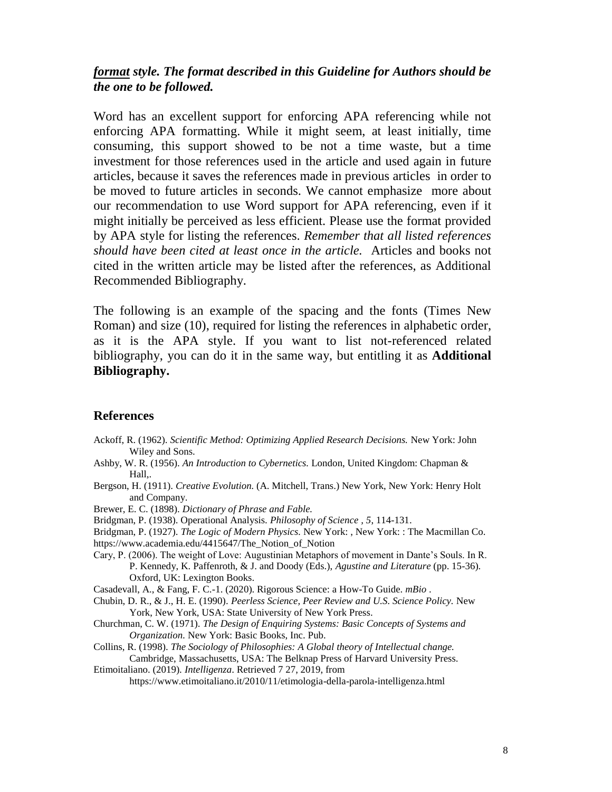### *format style. The format described in this Guideline for Authors should be the one to be followed.*

Word has an excellent support for enforcing APA referencing while not enforcing APA formatting. While it might seem, at least initially, time consuming, this support showed to be not a time waste, but a time investment for those references used in the article and used again in future articles, because it saves the references made in previous articles in order to be moved to future articles in seconds. We cannot emphasize more about our recommendation to use Word support for APA referencing, even if it might initially be perceived as less efficient. Please use the format provided by APA style for listing the references. *Remember that all listed references should have been cited at least once in the article.* Articles and books not cited in the written article may be listed after the references, as Additional Recommended Bibliography.

The following is an example of the spacing and the fonts (Times New Roman) and size (10), required for listing the references in alphabetic order, as it is the APA style. If you want to list not-referenced related bibliography, you can do it in the same way, but entitling it as **Additional Bibliography.**

#### **References**

- Ackoff, R. (1962). *Scientific Method: Optimizing Applied Research Decisions.* New York: John Wiley and Sons.
- Ashby, W. R. (1956). *An Introduction to Cybernetics.* London, United Kingdom: Chapman & Hall,.
- Bergson, H. (1911). *Creative Evolution.* (A. Mitchell, Trans.) New York, New York: Henry Holt and Company.

Brewer, E. C. (1898). *Dictionary of Phrase and Fable.*

Bridgman, P. (1938). Operational Analysis. *Philosophy of Science , 5*, 114-131.

Bridgman, P. (1927). *The Logic of Modern Physics.* New York: , New York: : The Macmillan Co.

- https://www.academia.edu/4415647/The\_Notion\_of\_Notion
- Cary, P. (2006). The weight of Love: Augustinian Metaphors of movement in Dante's Souls. In R. P. Kennedy, K. Paffenroth, & J. and Doody (Eds.), *Agustine and Literature* (pp. 15-36). Oxford, UK: Lexington Books.

Casadevall, A., & Fang, F. C.-1. (2020). Rigorous Science: a How-To Guide. *mBio* .

- Chubin, D. R., & J., H. E. (1990). *Peerless Science, Peer Review and U.S. Science Policy.* New York, New York, USA: State University of New York Press.
- Churchman, C. W. (1971). *The Design of Enquiring Systems: Basic Concepts of Systems and Organization.* New York: Basic Books, Inc. Pub.
- Collins, R. (1998). *The Sociology of Philosophies: A Global theory of Intellectual change.* Cambridge, Massachusetts, USA: The Belknap Press of Harvard University Press.
- Etimoitaliano. (2019). *Intelligenza*. Retrieved 7 27, 2019, from https://www.etimoitaliano.it/2010/11/etimologia-della-parola-intelligenza.html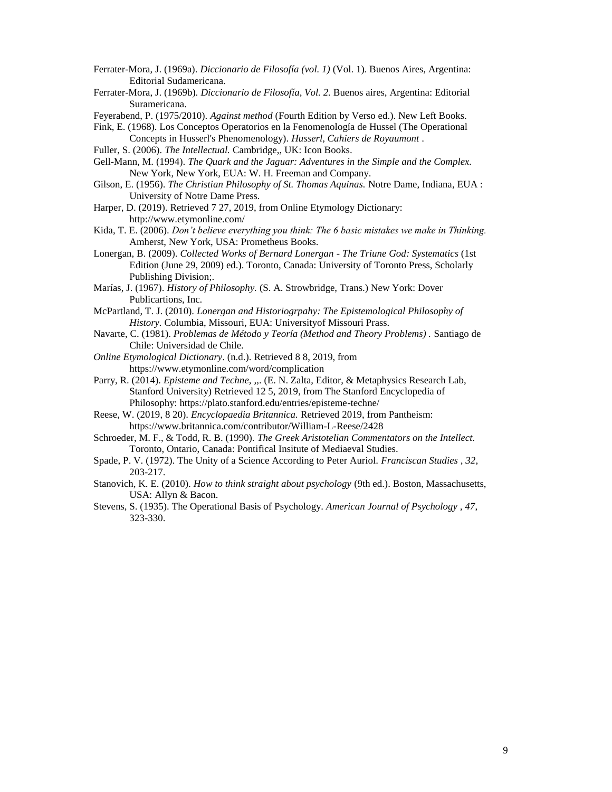- Ferrater-Mora, J. (1969a). *Diccionario de Filosofía (vol. 1)* (Vol. 1). Buenos Aires, Argentina: Editorial Sudamericana.
- Ferrater-Mora, J. (1969b). *Diccionario de Filosofía, Vol. 2.* Buenos aires, Argentina: Editorial Suramericana.
- Feyerabend, P. (1975/2010). *Against method* (Fourth Edition by Verso ed.). New Left Books.
- Fink, E. (1968). Los Conceptos Operatorios en la Fenomenología de Hussel (The Operational Concepts in Husserl's Phenomenology). *Husserl, Cahiers de Royaumont* .
- Fuller, S. (2006). *The Intellectual.* Cambridge,, UK: Icon Books.
- Gell-Mann, M. (1994). *The Quark and the Jaguar: Adventures in the Simple and the Complex.* New York, New York, EUA: W. H. Freeman and Company.
- Gilson, E. (1956). *The Christian Philosophy of St. Thomas Aquinas.* Notre Dame, Indiana, EUA : University of Notre Dame Press.
- Harper, D. (2019). Retrieved 7 27, 2019, from Online Etymology Dictionary: http://www.etymonline.com/
- Kida, T. E. (2006). *Don't believe everything you think: The 6 basic mistakes we make in Thinking.* Amherst, New York, USA: Prometheus Books.
- Lonergan, B. (2009). *Collected Works of Bernard Lonergan - The Triune God: Systematics* (1st Edition (June 29, 2009) ed.). Toronto, Canada: University of Toronto Press, Scholarly Publishing Division;.
- Marías, J. (1967). *History of Philosophy.* (S. A. Strowbridge, Trans.) New York: Dover Publicartions, Inc.
- McPartland, T. J. (2010). *Lonergan and Historiogrpahy: The Epistemological Philosophy of History.* Columbia, Missouri, EUA: Universityof Missouri Prass.
- Navarte, C. (1981). *Problemas de Método y Teoría (Method and Theory Problems) .* Santiago de Chile: Universidad de Chile.
- *Online Etymological Dictionary*. (n.d.). Retrieved 8 8, 2019, from https://www.etymonline.com/word/complication
- Parry, R. (2014). *Episteme and Techne, ,,*. (E. N. Zalta, Editor, & Metaphysics Research Lab, Stanford University) Retrieved 12 5, 2019, from The Stanford Encyclopedia of Philosophy: https://plato.stanford.edu/entries/episteme-techne/
- Reese, W. (2019, 8 20). *Encyclopaedia Britannica.* Retrieved 2019, from Pantheism: https://www.britannica.com/contributor/William-L-Reese/2428
- Schroeder, M. F., & Todd, R. B. (1990). *The Greek Aristotelian Commentators on the Intellect.* Toronto, Ontario, Canada: Pontifical Insitute of Mediaeval Studies.
- Spade, P. V. (1972). The Unity of a Science According to Peter Auriol. *Franciscan Studies , 32*, 203-217.
- Stanovich, K. E. (2010). *How to think straight about psychology* (9th ed.). Boston, Massachusetts, USA: Allyn & Bacon.
- Stevens, S. (1935). The Operational Basis of Psychology. *American Journal of Psychology , 47*, 323-330.